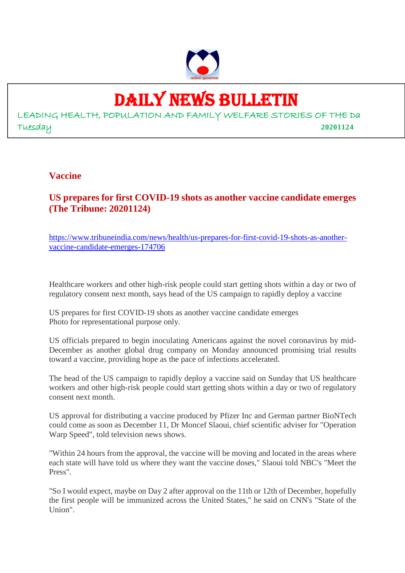

## DAILY NEWS BULLETIN

LEADING HEALTH, POPULATION AND FAMILY WELFARE STORIES OF THE Da Tuesday **20201124**

#### **Vaccine**

**US prepares for first COVID-19 shots as another vaccine candidate emerges (The Tribune: 20201124)**

https://www.tribuneindia.com/news/health/us-prepares-for-first-covid-19-shots-as-anothervaccine-candidate-emerges-174706

Healthcare workers and other high-risk people could start getting shots within a day or two of regulatory consent next month, says head of the US campaign to rapidly deploy a vaccine

US prepares for first COVID-19 shots as another vaccine candidate emerges Photo for representational purpose only.

US officials prepared to begin inoculating Americans against the novel coronavirus by mid-December as another global drug company on Monday announced promising trial results toward a vaccine, providing hope as the pace of infections accelerated.

The head of the US campaign to rapidly deploy a vaccine said on Sunday that US healthcare workers and other high-risk people could start getting shots within a day or two of regulatory consent next month.

US approval for distributing a vaccine produced by Pfizer Inc and German partner BioNTech could come as soon as December 11, Dr Moncef Slaoui, chief scientific adviser for "Operation Warp Speed", told television news shows.

"Within 24 hours from the approval, the vaccine will be moving and located in the areas where each state will have told us where they want the vaccine doses," Slaoui told NBC's "Meet the Press".

"So I would expect, maybe on Day 2 after approval on the 11th or 12th of December, hopefully the first people will be immunized across the United States," he said on CNN's "State of the Union".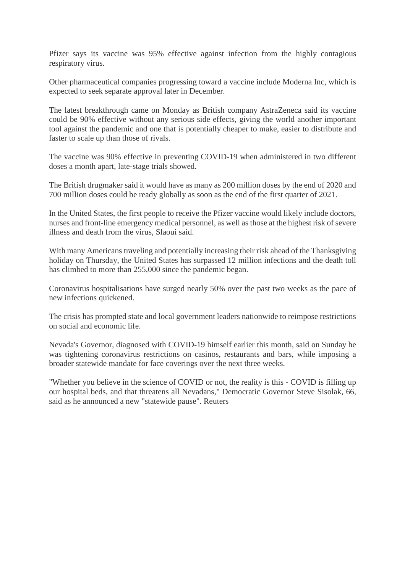Pfizer says its vaccine was 95% effective against infection from the highly contagious respiratory virus.

Other pharmaceutical companies progressing toward a vaccine include Moderna Inc, which is expected to seek separate approval later in December.

The latest breakthrough came on Monday as British company AstraZeneca said its vaccine could be 90% effective without any serious side effects, giving the world another important tool against the pandemic and one that is potentially cheaper to make, easier to distribute and faster to scale up than those of rivals.

The vaccine was 90% effective in preventing COVID-19 when administered in two different doses a month apart, late-stage trials showed.

The British drugmaker said it would have as many as 200 million doses by the end of 2020 and 700 million doses could be ready globally as soon as the end of the first quarter of 2021.

In the United States, the first people to receive the Pfizer vaccine would likely include doctors, nurses and front-line emergency medical personnel, as well as those at the highest risk of severe illness and death from the virus, Slaoui said.

With many Americans traveling and potentially increasing their risk ahead of the Thanksgiving holiday on Thursday, the United States has surpassed 12 million infections and the death toll has climbed to more than 255,000 since the pandemic began.

Coronavirus hospitalisations have surged nearly 50% over the past two weeks as the pace of new infections quickened.

The crisis has prompted state and local government leaders nationwide to reimpose restrictions on social and economic life.

Nevada's Governor, diagnosed with COVID-19 himself earlier this month, said on Sunday he was tightening coronavirus restrictions on casinos, restaurants and bars, while imposing a broader statewide mandate for face coverings over the next three weeks.

"Whether you believe in the science of COVID or not, the reality is this - COVID is filling up our hospital beds, and that threatens all Nevadans," Democratic Governor Steve Sisolak, 66, said as he announced a new "statewide pause". Reuters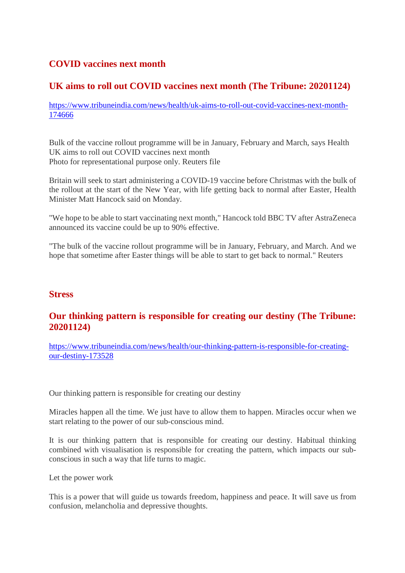#### **COVID vaccines next month**

#### **UK aims to roll out COVID vaccines next month (The Tribune: 20201124)**

https://www.tribuneindia.com/news/health/uk-aims-to-roll-out-covid-vaccines-next-month-174666

Bulk of the vaccine rollout programme will be in January, February and March, says Health UK aims to roll out COVID vaccines next month Photo for representational purpose only. Reuters file

Britain will seek to start administering a COVID-19 vaccine before Christmas with the bulk of the rollout at the start of the New Year, with life getting back to normal after Easter, Health Minister Matt Hancock said on Monday.

"We hope to be able to start vaccinating next month," Hancock told BBC TV after AstraZeneca announced its vaccine could be up to 90% effective.

"The bulk of the vaccine rollout programme will be in January, February, and March. And we hope that sometime after Easter things will be able to start to get back to normal." Reuters

#### **Stress**

#### **Our thinking pattern is responsible for creating our destiny (The Tribune: 20201124)**

https://www.tribuneindia.com/news/health/our-thinking-pattern-is-responsible-for-creatingour-destiny-173528

Our thinking pattern is responsible for creating our destiny

Miracles happen all the time. We just have to allow them to happen. Miracles occur when we start relating to the power of our sub-conscious mind.

It is our thinking pattern that is responsible for creating our destiny. Habitual thinking combined with visualisation is responsible for creating the pattern, which impacts our subconscious in such a way that life turns to magic.

Let the power work

This is a power that will guide us towards freedom, happiness and peace. It will save us from confusion, melancholia and depressive thoughts.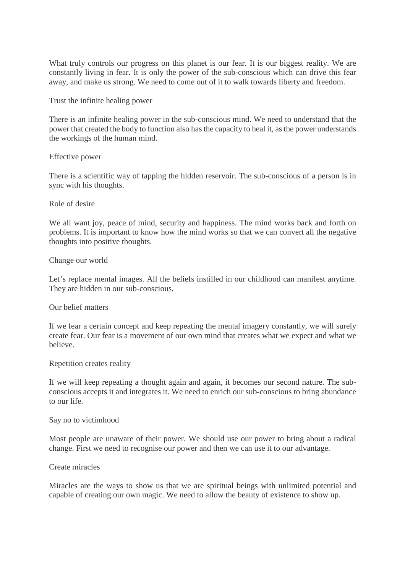What truly controls our progress on this planet is our fear. It is our biggest reality. We are constantly living in fear. It is only the power of the sub-conscious which can drive this fear away, and make us strong. We need to come out of it to walk towards liberty and freedom.

Trust the infinite healing power

There is an infinite healing power in the sub-conscious mind. We need to understand that the power that created the body to function also has the capacity to heal it, as the power understands the workings of the human mind.

#### Effective power

There is a scientific way of tapping the hidden reservoir. The sub-conscious of a person is in sync with his thoughts.

#### Role of desire

We all want joy, peace of mind, security and happiness. The mind works back and forth on problems. It is important to know how the mind works so that we can convert all the negative thoughts into positive thoughts.

Change our world

Let's replace mental images. All the beliefs instilled in our childhood can manifest anytime. They are hidden in our sub-conscious.

#### Our belief matters

If we fear a certain concept and keep repeating the mental imagery constantly, we will surely create fear. Our fear is a movement of our own mind that creates what we expect and what we believe.

#### Repetition creates reality

If we will keep repeating a thought again and again, it becomes our second nature. The subconscious accepts it and integrates it. We need to enrich our sub-conscious to bring abundance to our life.

#### Say no to victimhood

Most people are unaware of their power. We should use our power to bring about a radical change. First we need to recognise our power and then we can use it to our advantage.

#### Create miracles

Miracles are the ways to show us that we are spiritual beings with unlimited potential and capable of creating our own magic. We need to allow the beauty of existence to show up.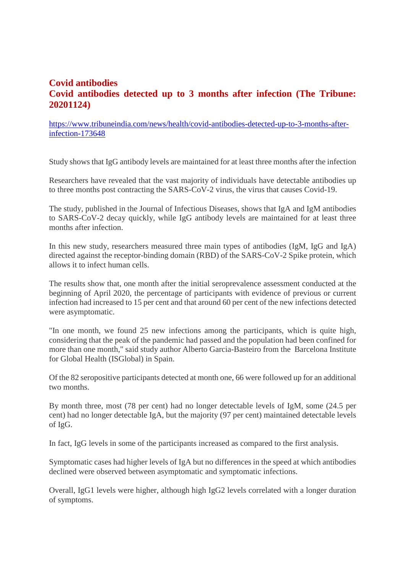#### **Covid antibodies Covid antibodies detected up to 3 months after infection (The Tribune: 20201124)**

https://www.tribuneindia.com/news/health/covid-antibodies-detected-up-to-3-months-afterinfection-173648

Study shows that IgG antibody levels are maintained for at least three months after the infection

Researchers have revealed that the vast majority of individuals have detectable antibodies up to three months post contracting the SARS-CoV-2 virus, the virus that causes Covid-19.

The study, published in the Journal of Infectious Diseases, shows that IgA and IgM antibodies to SARS-CoV-2 decay quickly, while IgG antibody levels are maintained for at least three months after infection.

In this new study, researchers measured three main types of antibodies (IgM, IgG and IgA) directed against the receptor-binding domain (RBD) of the SARS-CoV-2 Spike protein, which allows it to infect human cells.

The results show that, one month after the initial seroprevalence assessment conducted at the beginning of April 2020, the percentage of participants with evidence of previous or current infection had increased to 15 per cent and that around 60 per cent of the new infections detected were asymptomatic.

"In one month, we found 25 new infections among the participants, which is quite high, considering that the peak of the pandemic had passed and the population had been confined for more than one month," said study author Alberto Garcia-Basteiro from the Barcelona Institute for Global Health (ISGlobal) in Spain.

Of the 82 seropositive participants detected at month one, 66 were followed up for an additional two months.

By month three, most (78 per cent) had no longer detectable levels of IgM, some (24.5 per cent) had no longer detectable IgA, but the majority (97 per cent) maintained detectable levels of IgG.

In fact, IgG levels in some of the participants increased as compared to the first analysis.

Symptomatic cases had higher levels of IgA but no differences in the speed at which antibodies declined were observed between asymptomatic and symptomatic infections.

Overall, IgG1 levels were higher, although high IgG2 levels correlated with a longer duration of symptoms.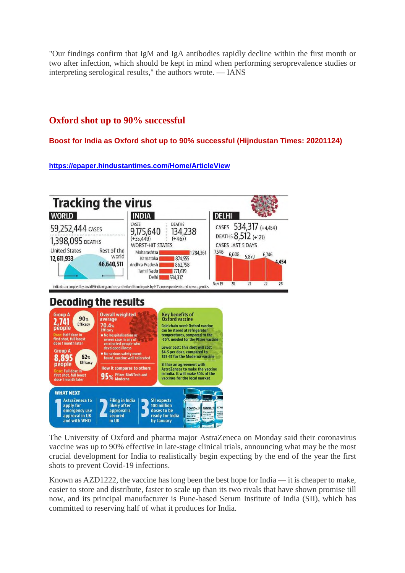"Our findings confirm that IgM and IgA antibodies rapidly decline within the first month or two after infection, which should be kept in mind when performing seroprevalence studies or interpreting serological results," the authors wrote. — IANS

#### **Oxford shot up to 90% successful**

**Boost for India as Oxford shot up to 90% successful (Hijndustan Times: 20201124)**

**https://epaper.hindustantimes.com/Home/ArticleView**



The University of Oxford and pharma major AstraZeneca on Monday said their coronavirus vaccine was up to 90% effective in late-stage clinical trials, announcing what may be the most crucial development for India to realistically begin expecting by the end of the year the first shots to prevent Covid-19 infections.

Known as AZD1222, the vaccine has long been the best hope for India — it is cheaper to make, easier to store and distribute, faster to scale up than its two rivals that have shown promise till now, and its principal manufacturer is Pune-based Serum Institute of India (SII), which has committed to reserving half of what it produces for India.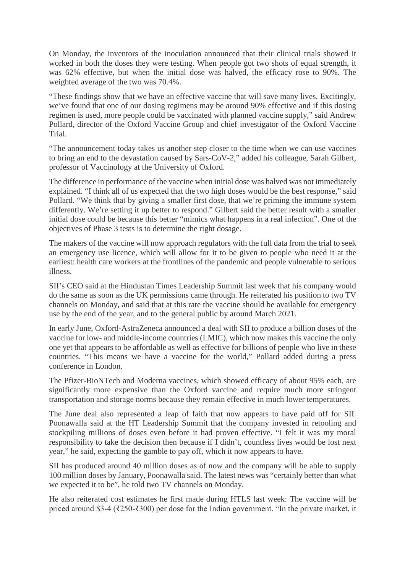On Monday, the inventors of the inoculation announced that their clinical trials showed it worked in both the doses they were testing. When people got two shots of equal strength, it was 62% effective, but when the initial dose was halved, the efficacy rose to 90%. The weighted average of the two was 70.4%.

"These findings show that we have an effective vaccine that will save many lives. Excitingly, we've found that one of our dosing regimens may be around 90% effective and if this dosing regimen is used, more people could be vaccinated with planned vaccine supply," said Andrew Pollard, director of the Oxford Vaccine Group and chief investigator of the Oxford Vaccine Trial.

"The announcement today takes us another step closer to the time when we can use vaccines to bring an end to the devastation caused by Sars-CoV-2," added his colleague, Sarah Gilbert, professor of Vaccinology at the University of Oxford.

The difference in performance of the vaccine when initial dose was halved was not immediately explained. "I think all of us expected that the two high doses would be the best response," said Pollard. "We think that by giving a smaller first dose, that we're priming the immune system differently. We're setting it up better to respond." Gilbert said the better result with a smaller initial dose could be because this better "mimics what happens in a real infection". One of the objectives of Phase 3 tests is to determine the right dosage.

The makers of the vaccine will now approach regulators with the full data from the trial to seek an emergency use licence, which will allow for it to be given to people who need it at the earliest: health care workers at the frontlines of the pandemic and people vulnerable to serious illness.

SII's CEO said at the Hindustan Times Leadership Summit last week that his company would do the same as soon as the UK permissions came through. He reiterated his position to two TV channels on Monday, and said that at this rate the vaccine should be available for emergency use by the end of the year, and to the general public by around March 2021.

In early June, Oxford-AstraZeneca announced a deal with SII to produce a billion doses of the vaccine for low- and middle-income countries (LMIC), which now makes this vaccine the only one yet that appears to be affordable as well as effective for billions of people who live in these countries. "This means we have a vaccine for the world," Pollard added during a press conference in London.

The Pfizer-BioNTech and Moderna vaccines, which showed efficacy of about 95% each, are significantly more expensive than the Oxford vaccine and require much more stringent transportation and storage norms because they remain effective in much lower temperatures.

The June deal also represented a leap of faith that now appears to have paid off for SII. Poonawalla said at the HT Leadership Summit that the company invested in retooling and stockpiling millions of doses even before it had proven effective. "I felt it was my moral responsibility to take the decision then because if I didn't, countless lives would be lost next year," he said, expecting the gamble to pay off, which it now appears to have.

SII has produced around 40 million doses as of now and the company will be able to supply 100 million doses by January, Poonawalla said. The latest news was "certainly better than what we expected it to be", he told two TV channels on Monday.

He also reiterated cost estimates he first made during HTLS last week: The vaccine will be priced around \$3-4 (₹250-₹300) per dose for the Indian government. "In the private market, it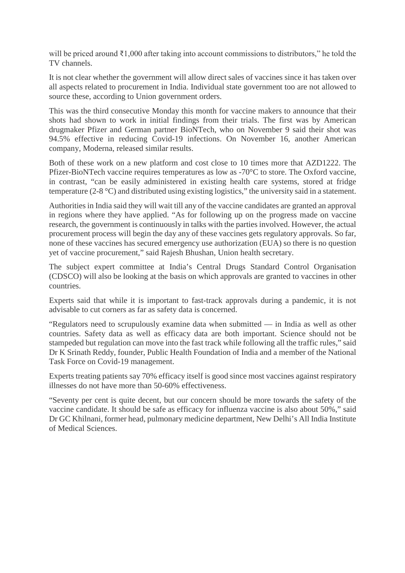will be priced around ₹1,000 after taking into account commissions to distributors," he told the TV channels.

It is not clear whether the government will allow direct sales of vaccines since it has taken over all aspects related to procurement in India. Individual state government too are not allowed to source these, according to Union government orders.

This was the third consecutive Monday this month for vaccine makers to announce that their shots had shown to work in initial findings from their trials. The first was by American drugmaker Pfizer and German partner BioNTech, who on November 9 said their shot was 94.5% effective in reducing Covid-19 infections. On November 16, another American company, Moderna, released similar results.

Both of these work on a new platform and cost close to 10 times more that AZD1222. The Pfizer-BioNTech vaccine requires temperatures as low as -70°C to store. The Oxford vaccine, in contrast, "can be easily administered in existing health care systems, stored at fridge temperature (2-8 °C) and distributed using existing logistics," the university said in a statement.

Authorities in India said they will wait till any of the vaccine candidates are granted an approval in regions where they have applied. "As for following up on the progress made on vaccine research, the government is continuously in talks with the parties involved. However, the actual procurement process will begin the day any of these vaccines gets regulatory approvals. So far, none of these vaccines has secured emergency use authorization (EUA) so there is no question yet of vaccine procurement," said Rajesh Bhushan, Union health secretary.

The subject expert committee at India's Central Drugs Standard Control Organisation (CDSCO) will also be looking at the basis on which approvals are granted to vaccines in other countries.

Experts said that while it is important to fast-track approvals during a pandemic, it is not advisable to cut corners as far as safety data is concerned.

"Regulators need to scrupulously examine data when submitted — in India as well as other countries. Safety data as well as efficacy data are both important. Science should not be stampeded but regulation can move into the fast track while following all the traffic rules," said Dr K Srinath Reddy, founder, Public Health Foundation of India and a member of the National Task Force on Covid-19 management.

Experts treating patients say 70% efficacy itself is good since most vaccines against respiratory illnesses do not have more than 50-60% effectiveness.

"Seventy per cent is quite decent, but our concern should be more towards the safety of the vaccine candidate. It should be safe as efficacy for influenza vaccine is also about 50%," said Dr GC Khilnani, former head, pulmonary medicine department, New Delhi's All India Institute of Medical Sciences.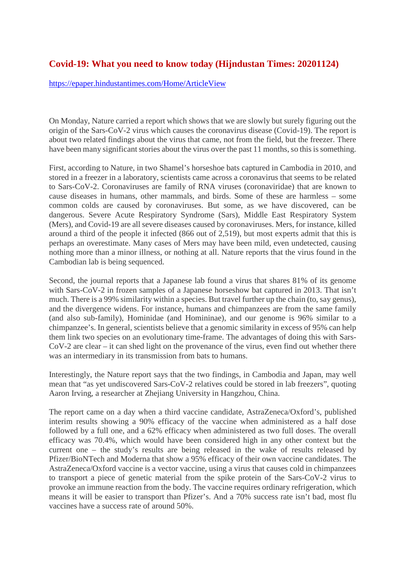#### **Covid-19: What you need to know today (Hijndustan Times: 20201124)**

https://epaper.hindustantimes.com/Home/ArticleView

On Monday, Nature carried a report which shows that we are slowly but surely figuring out the origin of the Sars-CoV-2 virus which causes the coronavirus disease (Covid-19). The report is about two related findings about the virus that came, not from the field, but the freezer. There have been many significant stories about the virus over the past 11 months, so this is something.

First, according to Nature, in two Shamel's horseshoe bats captured in Cambodia in 2010, and stored in a freezer in a laboratory, scientists came across a coronavirus that seems to be related to Sars-CoV-2. Coronaviruses are family of RNA viruses (coronaviridae) that are known to cause diseases in humans, other mammals, and birds. Some of these are harmless – some common colds are caused by coronaviruses. But some, as we have discovered, can be dangerous. Severe Acute Respiratory Syndrome (Sars), Middle East Respiratory System (Mers), and Covid-19 are all severe diseases caused by coronaviruses. Mers, for instance, killed around a third of the people it infected (866 out of 2,519), but most experts admit that this is perhaps an overestimate. Many cases of Mers may have been mild, even undetected, causing nothing more than a minor illness, or nothing at all. Nature reports that the virus found in the Cambodian lab is being sequenced.

Second, the journal reports that a Japanese lab found a virus that shares 81% of its genome with Sars-CoV-2 in frozen samples of a Japanese horseshow bat captured in 2013. That isn't much. There is a 99% similarity within a species. But travel further up the chain (to, say genus), and the divergence widens. For instance, humans and chimpanzees are from the same family (and also sub-family), Hominidae (and Homininae), and our genome is 96% similar to a chimpanzee's. In general, scientists believe that a genomic similarity in excess of 95% can help them link two species on an evolutionary time-frame. The advantages of doing this with Sars-CoV-2 are clear – it can shed light on the provenance of the virus, even find out whether there was an intermediary in its transmission from bats to humans.

Interestingly, the Nature report says that the two findings, in Cambodia and Japan, may well mean that "as yet undiscovered Sars-CoV-2 relatives could be stored in lab freezers", quoting Aaron Irving, a researcher at Zhejiang University in Hangzhou, China.

The report came on a day when a third vaccine candidate, AstraZeneca/Oxford's, published interim results showing a 90% efficacy of the vaccine when administered as a half dose followed by a full one, and a 62% efficacy when administered as two full doses. The overall efficacy was 70.4%, which would have been considered high in any other context but the current one – the study's results are being released in the wake of results released by Pfizer/BioNTech and Moderna that show a 95% efficacy of their own vaccine candidates. The AstraZeneca/Oxford vaccine is a vector vaccine, using a virus that causes cold in chimpanzees to transport a piece of genetic material from the spike protein of the Sars-CoV-2 virus to provoke an immune reaction from the body. The vaccine requires ordinary refrigeration, which means it will be easier to transport than Pfizer's. And a 70% success rate isn't bad, most flu vaccines have a success rate of around 50%.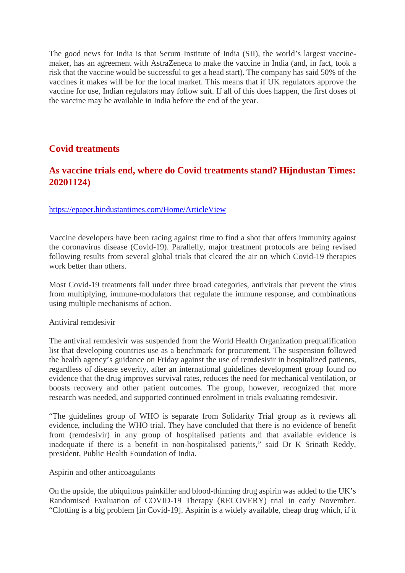The good news for India is that Serum Institute of India (SII), the world's largest vaccinemaker, has an agreement with AstraZeneca to make the vaccine in India (and, in fact, took a risk that the vaccine would be successful to get a head start). The company has said 50% of the vaccines it makes will be for the local market. This means that if UK regulators approve the vaccine for use, Indian regulators may follow suit. If all of this does happen, the first doses of the vaccine may be available in India before the end of the year.

#### **Covid treatments**

#### **As vaccine trials end, where do Covid treatments stand? Hijndustan Times: 20201124)**

#### https://epaper.hindustantimes.com/Home/ArticleView

Vaccine developers have been racing against time to find a shot that offers immunity against the coronavirus disease (Covid-19). Parallelly, major treatment protocols are being revised following results from several global trials that cleared the air on which Covid-19 therapies work better than others.

Most Covid-19 treatments fall under three broad categories, antivirals that prevent the virus from multiplying, immune-modulators that regulate the immune response, and combinations using multiple mechanisms of action.

#### Antiviral remdesivir

The antiviral remdesivir was suspended from the World Health Organization prequalification list that developing countries use as a benchmark for procurement. The suspension followed the health agency's guidance on Friday against the use of remdesivir in hospitalized patients, regardless of disease severity, after an international guidelines development group found no evidence that the drug improves survival rates, reduces the need for mechanical ventilation, or boosts recovery and other patient outcomes. The group, however, recognized that more research was needed, and supported continued enrolment in trials evaluating remdesivir.

"The guidelines group of WHO is separate from Solidarity Trial group as it reviews all evidence, including the WHO trial. They have concluded that there is no evidence of benefit from (remdesivir) in any group of hospitalised patients and that available evidence is inadequate if there is a benefit in non-hospitalised patients," said Dr K Srinath Reddy, president, Public Health Foundation of India.

Aspirin and other anticoagulants

On the upside, the ubiquitous painkiller and blood-thinning drug aspirin was added to the UK's Randomised Evaluation of COVID-19 Therapy (RECOVERY) trial in early November. "Clotting is a big problem [in Covid-19]. Aspirin is a widely available, cheap drug which, if it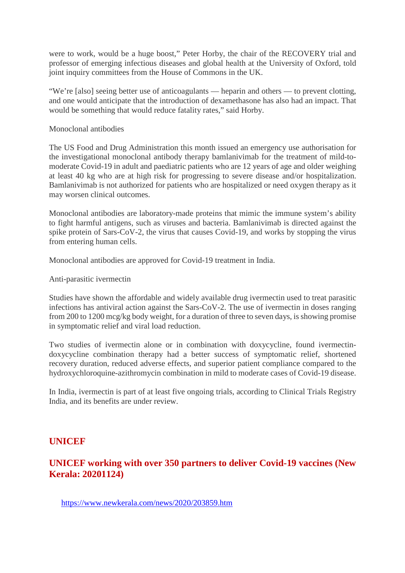were to work, would be a huge boost," Peter Horby, the chair of the RECOVERY trial and professor of emerging infectious diseases and global health at the University of Oxford, told joint inquiry committees from the House of Commons in the UK.

"We're [also] seeing better use of anticoagulants — heparin and others — to prevent clotting, and one would anticipate that the introduction of dexamethasone has also had an impact. That would be something that would reduce fatality rates," said Horby.

Monoclonal antibodies

The US Food and Drug Administration this month issued an emergency use authorisation for the investigational monoclonal antibody therapy bamlanivimab for the treatment of mild-tomoderate Covid-19 in adult and paediatric patients who are 12 years of age and older weighing at least 40 kg who are at high risk for progressing to severe disease and/or hospitalization. Bamlanivimab is not authorized for patients who are hospitalized or need oxygen therapy as it may worsen clinical outcomes.

Monoclonal antibodies are laboratory-made proteins that mimic the immune system's ability to fight harmful antigens, such as viruses and bacteria. Bamlanivimab is directed against the spike protein of Sars-CoV-2, the virus that causes Covid-19, and works by stopping the virus from entering human cells.

Monoclonal antibodies are approved for Covid-19 treatment in India.

Anti-parasitic ivermectin

Studies have shown the affordable and widely available drug ivermectin used to treat parasitic infections has antiviral action against the Sars-CoV-2. The use of ivermectin in doses ranging from 200 to 1200 mcg/kg body weight, for a duration of three to seven days, is showing promise in symptomatic relief and viral load reduction.

Two studies of ivermectin alone or in combination with doxycycline, found ivermectindoxycycline combination therapy had a better success of symptomatic relief, shortened recovery duration, reduced adverse effects, and superior patient compliance compared to the hydroxychloroquine-azithromycin combination in mild to moderate cases of Covid-19 disease.

In India, ivermectin is part of at least five ongoing trials, according to Clinical Trials Registry India, and its benefits are under review.

#### **UNICEF**

#### **UNICEF working with over 350 partners to deliver Covid-19 vaccines (New Kerala: 20201124)**

https://www.newkerala.com/news/2020/203859.htm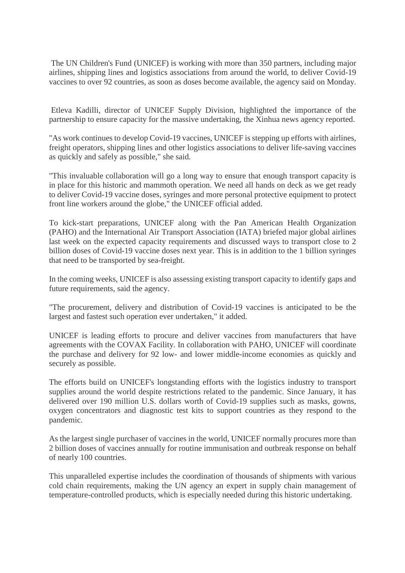The UN Children's Fund (UNICEF) is working with more than 350 partners, including major airlines, shipping lines and logistics associations from around the world, to deliver Covid-19 vaccines to over 92 countries, as soon as doses become available, the agency said on Monday.

Etleva Kadilli, director of UNICEF Supply Division, highlighted the importance of the partnership to ensure capacity for the massive undertaking, the Xinhua news agency reported.

"As work continues to develop Covid-19 vaccines, UNICEF is stepping up efforts with airlines, freight operators, shipping lines and other logistics associations to deliver life-saving vaccines as quickly and safely as possible," she said.

"This invaluable collaboration will go a long way to ensure that enough transport capacity is in place for this historic and mammoth operation. We need all hands on deck as we get ready to deliver Covid-19 vaccine doses, syringes and more personal protective equipment to protect front line workers around the globe," the UNICEF official added.

To kick-start preparations, UNICEF along with the Pan American Health Organization (PAHO) and the International Air Transport Association (IATA) briefed major global airlines last week on the expected capacity requirements and discussed ways to transport close to 2 billion doses of Covid-19 vaccine doses next year. This is in addition to the 1 billion syringes that need to be transported by sea-freight.

In the coming weeks, UNICEF is also assessing existing transport capacity to identify gaps and future requirements, said the agency.

"The procurement, delivery and distribution of Covid-19 vaccines is anticipated to be the largest and fastest such operation ever undertaken," it added.

UNICEF is leading efforts to procure and deliver vaccines from manufacturers that have agreements with the COVAX Facility. In collaboration with PAHO, UNICEF will coordinate the purchase and delivery for 92 low- and lower middle-income economies as quickly and securely as possible.

The efforts build on UNICEF's longstanding efforts with the logistics industry to transport supplies around the world despite restrictions related to the pandemic. Since January, it has delivered over 190 million U.S. dollars worth of Covid-19 supplies such as masks, gowns, oxygen concentrators and diagnostic test kits to support countries as they respond to the pandemic.

As the largest single purchaser of vaccines in the world, UNICEF normally procures more than 2 billion doses of vaccines annually for routine immunisation and outbreak response on behalf of nearly 100 countries.

This unparalleled expertise includes the coordination of thousands of shipments with various cold chain requirements, making the UN agency an expert in supply chain management of temperature-controlled products, which is especially needed during this historic undertaking.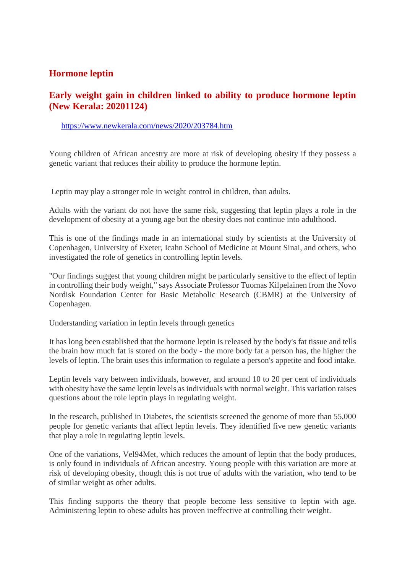#### **Hormone leptin**

#### **Early weight gain in children linked to ability to produce hormone leptin (New Kerala: 20201124)**

#### https://www.newkerala.com/news/2020/203784.htm

Young children of African ancestry are more at risk of developing obesity if they possess a genetic variant that reduces their ability to produce the hormone leptin.

Leptin may play a stronger role in weight control in children, than adults.

Adults with the variant do not have the same risk, suggesting that leptin plays a role in the development of obesity at a young age but the obesity does not continue into adulthood.

This is one of the findings made in an international study by scientists at the University of Copenhagen, University of Exeter, Icahn School of Medicine at Mount Sinai, and others, who investigated the role of genetics in controlling leptin levels.

"Our findings suggest that young children might be particularly sensitive to the effect of leptin in controlling their body weight," says Associate Professor Tuomas Kilpelainen from the Novo Nordisk Foundation Center for Basic Metabolic Research (CBMR) at the University of Copenhagen.

Understanding variation in leptin levels through genetics

It has long been established that the hormone leptin is released by the body's fat tissue and tells the brain how much fat is stored on the body - the more body fat a person has, the higher the levels of leptin. The brain uses this information to regulate a person's appetite and food intake.

Leptin levels vary between individuals, however, and around 10 to 20 per cent of individuals with obesity have the same leptin levels as individuals with normal weight. This variation raises questions about the role leptin plays in regulating weight.

In the research, published in Diabetes, the scientists screened the genome of more than 55,000 people for genetic variants that affect leptin levels. They identified five new genetic variants that play a role in regulating leptin levels.

One of the variations, Vel94Met, which reduces the amount of leptin that the body produces, is only found in individuals of African ancestry. Young people with this variation are more at risk of developing obesity, though this is not true of adults with the variation, who tend to be of similar weight as other adults.

This finding supports the theory that people become less sensitive to leptin with age. Administering leptin to obese adults has proven ineffective at controlling their weight.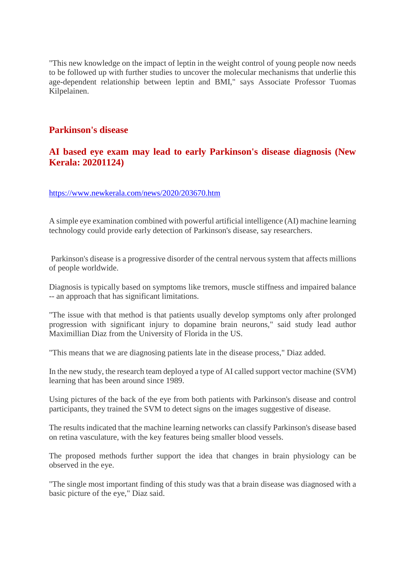"This new knowledge on the impact of leptin in the weight control of young people now needs to be followed up with further studies to uncover the molecular mechanisms that underlie this age-dependent relationship between leptin and BMI," says Associate Professor Tuomas Kilpelainen.

#### **Parkinson's disease**

#### **AI based eye exam may lead to early Parkinson's disease diagnosis (New Kerala: 20201124)**

#### https://www.newkerala.com/news/2020/203670.htm

A simple eye examination combined with powerful artificial intelligence (AI) machine learning technology could provide early detection of Parkinson's disease, say researchers.

Parkinson's disease is a progressive disorder of the central nervous system that affects millions of people worldwide.

Diagnosis is typically based on symptoms like tremors, muscle stiffness and impaired balance -- an approach that has significant limitations.

"The issue with that method is that patients usually develop symptoms only after prolonged progression with significant injury to dopamine brain neurons," said study lead author Maximillian Diaz from the University of Florida in the US.

"This means that we are diagnosing patients late in the disease process," Diaz added.

In the new study, the research team deployed a type of AI called support vector machine (SVM) learning that has been around since 1989.

Using pictures of the back of the eye from both patients with Parkinson's disease and control participants, they trained the SVM to detect signs on the images suggestive of disease.

The results indicated that the machine learning networks can classify Parkinson's disease based on retina vasculature, with the key features being smaller blood vessels.

The proposed methods further support the idea that changes in brain physiology can be observed in the eye.

"The single most important finding of this study was that a brain disease was diagnosed with a basic picture of the eye," Diaz said.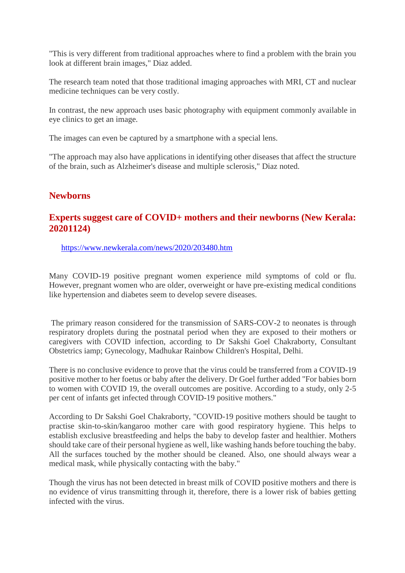"This is very different from traditional approaches where to find a problem with the brain you look at different brain images," Diaz added.

The research team noted that those traditional imaging approaches with MRI, CT and nuclear medicine techniques can be very costly.

In contrast, the new approach uses basic photography with equipment commonly available in eye clinics to get an image.

The images can even be captured by a smartphone with a special lens.

"The approach may also have applications in identifying other diseases that affect the structure of the brain, such as Alzheimer's disease and multiple sclerosis," Diaz noted.

#### **Newborns**

#### **Experts suggest care of COVID+ mothers and their newborns (New Kerala: 20201124)**

https://www.newkerala.com/news/2020/203480.htm

Many COVID-19 positive pregnant women experience mild symptoms of cold or flu. However, pregnant women who are older, overweight or have pre-existing medical conditions like hypertension and diabetes seem to develop severe diseases.

The primary reason considered for the transmission of SARS-COV-2 to neonates is through respiratory droplets during the postnatal period when they are exposed to their mothers or caregivers with COVID infection, according to Dr Sakshi Goel Chakraborty, Consultant Obstetrics iamp; Gynecology, Madhukar Rainbow Children's Hospital, Delhi.

There is no conclusive evidence to prove that the virus could be transferred from a COVID-19 positive mother to her foetus or baby after the delivery. Dr Goel further added "For babies born to women with COVID 19, the overall outcomes are positive. According to a study, only 2-5 per cent of infants get infected through COVID-19 positive mothers."

According to Dr Sakshi Goel Chakraborty, "COVID-19 positive mothers should be taught to practise skin-to-skin/kangaroo mother care with good respiratory hygiene. This helps to establish exclusive breastfeeding and helps the baby to develop faster and healthier. Mothers should take care of their personal hygiene as well, like washing hands before touching the baby. All the surfaces touched by the mother should be cleaned. Also, one should always wear a medical mask, while physically contacting with the baby."

Though the virus has not been detected in breast milk of COVID positive mothers and there is no evidence of virus transmitting through it, therefore, there is a lower risk of babies getting infected with the virus.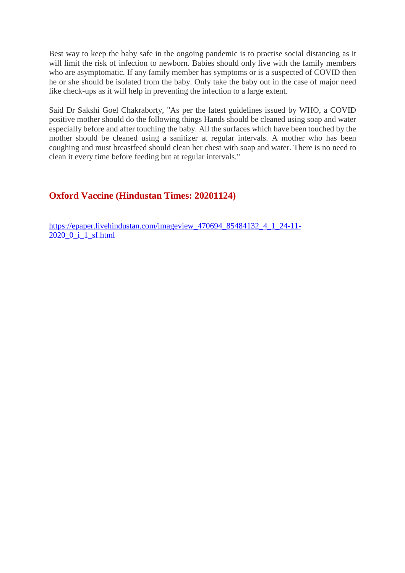Best way to keep the baby safe in the ongoing pandemic is to practise social distancing as it will limit the risk of infection to newborn. Babies should only live with the family members who are asymptomatic. If any family member has symptoms or is a suspected of COVID then he or she should be isolated from the baby. Only take the baby out in the case of major need like check-ups as it will help in preventing the infection to a large extent.

Said Dr Sakshi Goel Chakraborty, "As per the latest guidelines issued by WHO, a COVID positive mother should do the following things Hands should be cleaned using soap and water especially before and after touching the baby. All the surfaces which have been touched by the mother should be cleaned using a sanitizer at regular intervals. A mother who has been coughing and must breastfeed should clean her chest with soap and water. There is no need to clean it every time before feeding but at regular intervals."

#### **Oxford Vaccine (Hindustan Times: 20201124)**

https://epaper.livehindustan.com/imageview\_470694\_85484132\_4\_1\_24-11-  $2020$   $0$   $i$   $1$  sf.html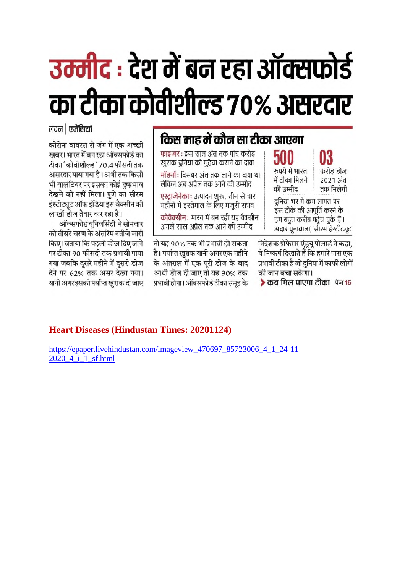# उम्मीद : देश में बन रहा ऑक्सफोर्ड का टीका कोवीशील्ड 70% असरदार

लंदन | एजेंसियां

कोरोना वायरस से जंग में एक अच्छी खबर। भारत में बन रहा ऑक्सफोर्ड का टीका 'कोवीशील्ड' 70.4 फीसदी तक असरदार पाया गया है। अभी तक किसी भी वालंटियर पर इसका कोई दुष्प्रभाव देखने को नहीं मिला। पणे का सीरम इंस्टीट्यूट ऑफ इंडिया इस वैक्सीन की लाखों डोज तैयार कर रहा है।

ऑक्सफोर्ड युनिवर्सिटी ने सोमवार को तीसरे चरण के अंतरिम नतीजे जारी किए। बताया कि पहली डोज दिए जाने पर टीका 90 फीसदी तक प्रभावी पाया गया जबकि दूसरे महीने में दूसरी डोज देने पर 62% तक असर देखा गया। यानी अगरइसकी पर्याप्त खराक दी जाए

### किस माह में कौन सा टीका आएगा

फाइजर : इस साल अंत तक पांच करोड खुराक दुनिया को मुहैया कराने का दावा मॉडर्ना : दिसंबर अंत तक लाने का दावा था

लेकिन अब अप्रैल तक आने की उम्मीद एस्ट्राजेनेकाः उत्पादन शुरू, तीन से चार महीनों में इस्तेमाल के लिए मंजरी संभव

कोवैक्सीन : भारत में बन रही यह वैक्सीन अगले साल अप्रैल तक आने की उम्मीद

तो यह 90% तक भी प्रभावी हो सकता है। पर्याप्त खुराक यानी अगरएक महीने के अंतराल में एक पूरी डोज के बाद आधी डोज दी जाए तो यह 90% तक प्रभावी होगा। ऑक्सफोर्ड टीका समह के

500 रुपये में भारत में टीका मिलने की उम्मीद

03 करोड डोज 2021 अंत तक मिलेगी

दुनिया भर में कम लागत पर इस टीके की आपूर्ति करने के हम बहुत करीब पहुंच चुके हैं। अदार पुनावाला, सीरम इंस्टीट्यूट

निदेशक प्रोफेसर एंड्रयू पोलार्ड ने कहा, ये निष्कर्ष दिखाते हैं कि हमारे पास एक प्रभावी टीका है जो दुनिया में काफी लोगों की जान बचा सकेगा।

▶ कब मिल पाएगा टीका फेन15

#### **Heart Diseases (Hindustan Times: 20201124)**

https://epaper.livehindustan.com/imageview\_470697\_85723006\_4\_1\_24-11-2020 4 i 1 sf.html